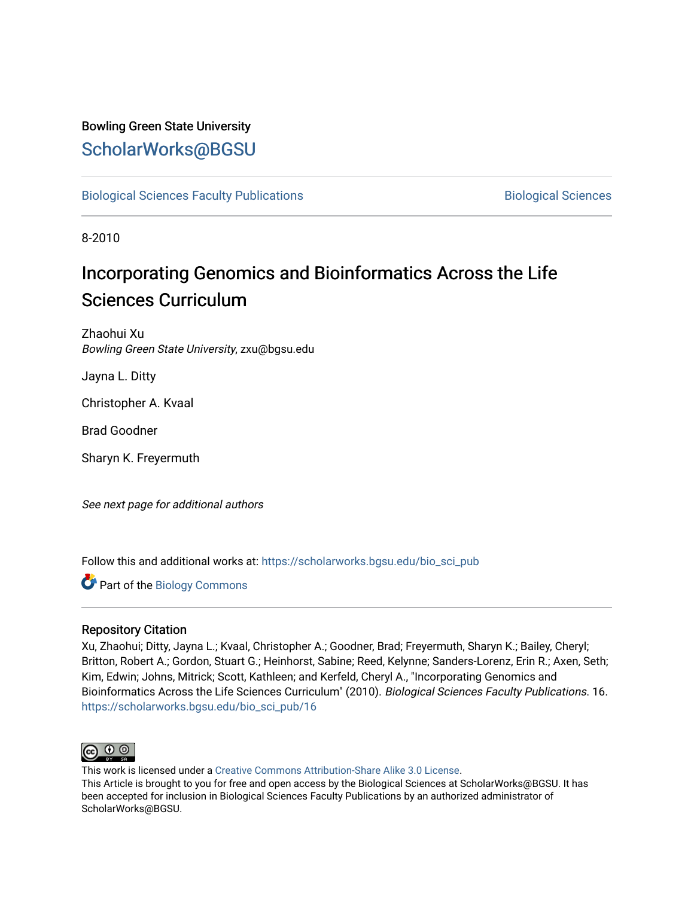# Bowling Green State University

# [ScholarWorks@BGSU](https://scholarworks.bgsu.edu/)

## [Biological Sciences Faculty Publications](https://scholarworks.bgsu.edu/bio_sci_pub) **Biological Sciences** Biological Sciences

8-2010

# Incorporating Genomics and Bioinformatics Across the Life Sciences Curriculum

Zhaohui Xu Bowling Green State University, zxu@bgsu.edu

Jayna L. Ditty

Christopher A. Kvaal

Brad Goodner

Sharyn K. Freyermuth

See next page for additional authors

Follow this and additional works at: [https://scholarworks.bgsu.edu/bio\\_sci\\_pub](https://scholarworks.bgsu.edu/bio_sci_pub?utm_source=scholarworks.bgsu.edu%2Fbio_sci_pub%2F16&utm_medium=PDF&utm_campaign=PDFCoverPages) 

Part of the [Biology Commons](http://network.bepress.com/hgg/discipline/41?utm_source=scholarworks.bgsu.edu%2Fbio_sci_pub%2F16&utm_medium=PDF&utm_campaign=PDFCoverPages) 

## Repository Citation

Xu, Zhaohui; Ditty, Jayna L.; Kvaal, Christopher A.; Goodner, Brad; Freyermuth, Sharyn K.; Bailey, Cheryl; Britton, Robert A.; Gordon, Stuart G.; Heinhorst, Sabine; Reed, Kelynne; Sanders-Lorenz, Erin R.; Axen, Seth; Kim, Edwin; Johns, Mitrick; Scott, Kathleen; and Kerfeld, Cheryl A., "Incorporating Genomics and Bioinformatics Across the Life Sciences Curriculum" (2010). Biological Sciences Faculty Publications. 16. [https://scholarworks.bgsu.edu/bio\\_sci\\_pub/16](https://scholarworks.bgsu.edu/bio_sci_pub/16?utm_source=scholarworks.bgsu.edu%2Fbio_sci_pub%2F16&utm_medium=PDF&utm_campaign=PDFCoverPages) 



This work is licensed under a [Creative Commons Attribution-Share Alike 3.0 License.](https://creativecommons.org/licenses/by-sa/3.0/) This Article is brought to you for free and open access by the Biological Sciences at ScholarWorks@BGSU. It has been accepted for inclusion in Biological Sciences Faculty Publications by an authorized administrator of ScholarWorks@BGSU.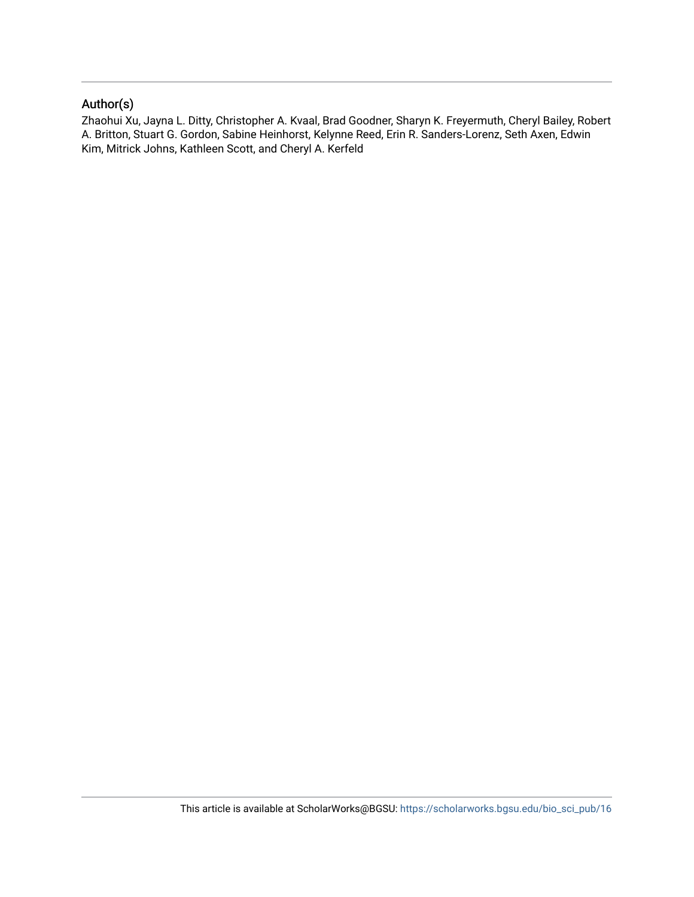## Author(s)

Zhaohui Xu, Jayna L. Ditty, Christopher A. Kvaal, Brad Goodner, Sharyn K. Freyermuth, Cheryl Bailey, Robert A. Britton, Stuart G. Gordon, Sabine Heinhorst, Kelynne Reed, Erin R. Sanders-Lorenz, Seth Axen, Edwin Kim, Mitrick Johns, Kathleen Scott, and Cheryl A. Kerfeld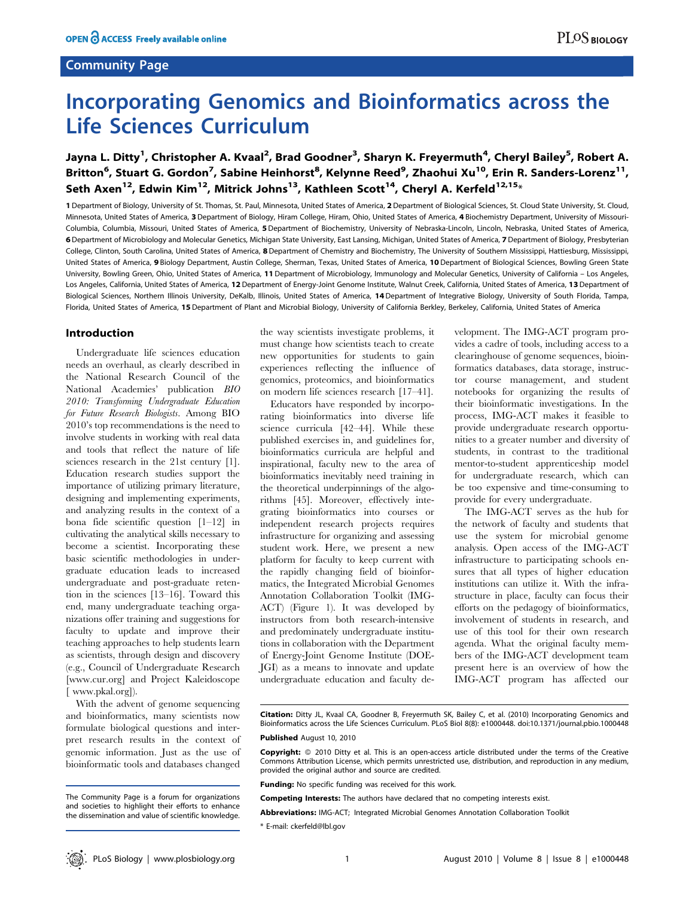#### Community Page

# Incorporating Genomics and Bioinformatics across the Life Sciences Curriculum

## Jayna L. Ditty<sup>1</sup>, Christopher A. Kvaal<sup>2</sup>, Brad Goodner<sup>3</sup>, Sharyn K. Freyermuth<sup>4</sup>, Cheryl Bailey<sup>5</sup>, Robert A. Britton<sup>6</sup>, Stuart G. Gordon<sup>7</sup>, Sabine Heinhorst<sup>8</sup>, Kelynne Reed<sup>9</sup>, Zhaohui Xu<sup>10</sup>, Erin R. Sanders-Lorenz<sup>11</sup>, Seth Axen<sup>12</sup>, Edwin Kim<sup>12</sup>, Mitrick Johns<sup>13</sup>, Kathleen Scott<sup>14</sup>, Cheryl A. Kerfeld<sup>12,15</sup>\*

1 Department of Biology, University of St. Thomas, St. Paul, Minnesota, United States of America, 2 Department of Biological Sciences, St. Cloud State University, St. Cloud, Minnesota, United States of America, 3 Department of Biology, Hiram College, Hiram, Ohio, United States of America, 4 Biochemistry Department, University of Missouri-Columbia, Columbia, Missouri, United States of America, 5 Department of Biochemistry, University of Nebraska-Lincoln, Lincoln, Nebraska, United States of America, 6 Department of Microbiology and Molecular Genetics, Michigan State University, East Lansing, Michigan, United States of America, 7Department of Biology, Presbyterian College, Clinton, South Carolina, United States of America, 8Department of Chemistry and Biochemistry, The University of Southern Mississippi, Hattiesburg, Mississippi, United States of America, 9 Biology Department, Austin College, Sherman, Texas, United States of America, 10 Department of Biological Sciences, Bowling Green State University, Bowling Green, Ohio, United States of America, 11 Department of Microbiology, Immunology and Molecular Genetics, University of California – Los Angeles, Los Angeles, California, United States of America, 12 Department of Energy-Joint Genome Institute, Walnut Creek, California, United States of America, 13 Department of Biological Sciences, Northern Illinois University, DeKalb, Illinois, United States of America, 14 Department of Integrative Biology, University of South Florida, Tampa, Florida, United States of America, 15 Department of Plant and Microbial Biology, University of California Berkley, Berkeley, California, United States of America

#### Introduction

Undergraduate life sciences education needs an overhaul, as clearly described in the National Research Council of the National Academies' publication BIO 2010: Transforming Undergraduate Education for Future Research Biologists. Among BIO 2010's top recommendations is the need to involve students in working with real data and tools that reflect the nature of life sciences research in the 21st century [1]. Education research studies support the importance of utilizing primary literature, designing and implementing experiments, and analyzing results in the context of a bona fide scientific question  $[1-12]$  in cultivating the analytical skills necessary to become a scientist. Incorporating these basic scientific methodologies in undergraduate education leads to increased undergraduate and post-graduate retention in the sciences [13–16]. Toward this end, many undergraduate teaching organizations offer training and suggestions for faculty to update and improve their teaching approaches to help students learn as scientists, through design and discovery (e.g., Council of Undergraduate Research [www.cur.org] and Project Kaleidoscope [ www.pkal.org]).

With the advent of genome sequencing and bioinformatics, many scientists now formulate biological questions and interpret research results in the context of genomic information. Just as the use of bioinformatic tools and databases changed

the way scientists investigate problems, it must change how scientists teach to create new opportunities for students to gain experiences reflecting the influence of genomics, proteomics, and bioinformatics on modern life sciences research [17–41].

Educators have responded by incorporating bioinformatics into diverse life science curricula [42–44]. While these published exercises in, and guidelines for, bioinformatics curricula are helpful and inspirational, faculty new to the area of bioinformatics inevitably need training in the theoretical underpinnings of the algorithms [45]. Moreover, effectively integrating bioinformatics into courses or independent research projects requires infrastructure for organizing and assessing student work. Here, we present a new platform for faculty to keep current with the rapidly changing field of bioinformatics, the Integrated Microbial Genomes Annotation Collaboration Toolkit (IMG-ACT) (Figure 1). It was developed by instructors from both research-intensive and predominately undergraduate institutions in collaboration with the Department of Energy-Joint Genome Institute (DOE-JGI) as a means to innovate and update undergraduate education and faculty development. The IMG-ACT program provides a cadre of tools, including access to a clearinghouse of genome sequences, bioinformatics databases, data storage, instructor course management, and student notebooks for organizing the results of their bioinformatic investigations. In the process, IMG-ACT makes it feasible to provide undergraduate research opportunities to a greater number and diversity of students, in contrast to the traditional mentor-to-student apprenticeship model for undergraduate research, which can be too expensive and time-consuming to provide for every undergraduate.

The IMG-ACT serves as the hub for the network of faculty and students that use the system for microbial genome analysis. Open access of the IMG-ACT infrastructure to participating schools ensures that all types of higher education institutions can utilize it. With the infrastructure in place, faculty can focus their efforts on the pedagogy of bioinformatics, involvement of students in research, and use of this tool for their own research agenda. What the original faculty members of the IMG-ACT development team present here is an overview of how the IMG-ACT program has affected our

The Community Page is a forum for organizations and societies to highlight their efforts to enhance the dissemination and value of scientific knowledge.

Citation: Ditty JL, Kvaal CA, Goodner B, Freyermuth SK, Bailey C, et al. (2010) Incorporating Genomics and Bioinformatics across the Life Sciences Curriculum. PLoS Biol 8(8): e1000448. doi:10.1371/journal.pbio.1000448 Published August 10, 2010

Copyright: © 2010 Ditty et al. This is an open-access article distributed under the terms of the Creative Commons Attribution License, which permits unrestricted use, distribution, and reproduction in any medium, provided the original author and source are credited.

Funding: No specific funding was received for this work.

Competing Interests: The authors have declared that no competing interests exist.

Abbreviations: IMG-ACT; Integrated Microbial Genomes Annotation Collaboration Toolkit

<sup>\*</sup> E-mail: ckerfeld@lbl.gov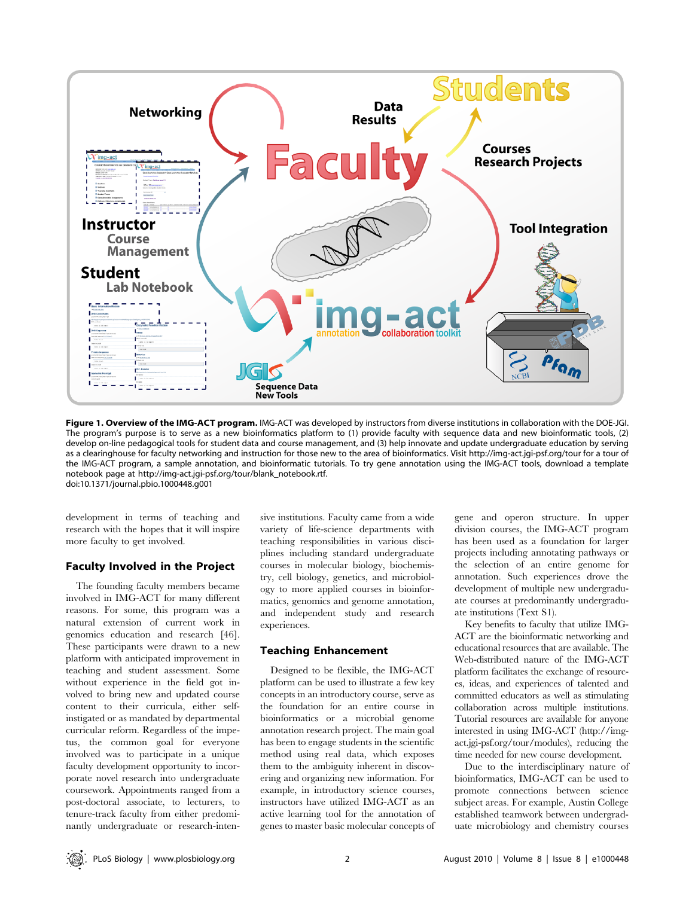

Figure 1. Overview of the IMG-ACT program. IMG-ACT was developed by instructors from diverse institutions in collaboration with the DOE-JGI. The program's purpose is to serve as a new bioinformatics platform to (1) provide faculty with sequence data and new bioinformatic tools, (2) develop on-line pedagogical tools for student data and course management, and (3) help innovate and update undergraduate education by serving as a clearinghouse for faculty networking and instruction for those new to the area of bioinformatics. Visit http://img-act.jgi-psf.org/tour for a tour of the IMG-ACT program, a sample annotation, and bioinformatic tutorials. To try gene annotation using the IMG-ACT tools, download a template notebook page at http://img-act.jgi-psf.org/tour/blank\_notebook.rtf. doi:10.1371/journal.pbio.1000448.g001

development in terms of teaching and research with the hopes that it will inspire more faculty to get involved.

#### Faculty Involved in the Project

The founding faculty members became involved in IMG-ACT for many different reasons. For some, this program was a natural extension of current work in genomics education and research [46]. These participants were drawn to a new platform with anticipated improvement in teaching and student assessment. Some without experience in the field got involved to bring new and updated course content to their curricula, either selfinstigated or as mandated by departmental curricular reform. Regardless of the impetus, the common goal for everyone involved was to participate in a unique faculty development opportunity to incorporate novel research into undergraduate coursework. Appointments ranged from a post-doctoral associate, to lecturers, to tenure-track faculty from either predominantly undergraduate or research-intensive institutions. Faculty came from a wide variety of life-science departments with teaching responsibilities in various disciplines including standard undergraduate courses in molecular biology, biochemistry, cell biology, genetics, and microbiology to more applied courses in bioinformatics, genomics and genome annotation, and independent study and research experiences.

#### Teaching Enhancement

Designed to be flexible, the IMG-ACT platform can be used to illustrate a few key concepts in an introductory course, serve as the foundation for an entire course in bioinformatics or a microbial genome annotation research project. The main goal has been to engage students in the scientific method using real data, which exposes them to the ambiguity inherent in discovering and organizing new information. For example, in introductory science courses, instructors have utilized IMG-ACT as an active learning tool for the annotation of genes to master basic molecular concepts of gene and operon structure. In upper division courses, the IMG-ACT program has been used as a foundation for larger projects including annotating pathways or the selection of an entire genome for annotation. Such experiences drove the development of multiple new undergraduate courses at predominantly undergraduate institutions (Text S1).

Key benefits to faculty that utilize IMG-ACT are the bioinformatic networking and educational resources that are available. The Web-distributed nature of the IMG-ACT platform facilitates the exchange of resources, ideas, and experiences of talented and committed educators as well as stimulating collaboration across multiple institutions. Tutorial resources are available for anyone interested in using IMG-ACT (http://imgact.jgi-psf.org/tour/modules), reducing the time needed for new course development.

Due to the interdisciplinary nature of bioinformatics, IMG-ACT can be used to promote connections between science subject areas. For example, Austin College established teamwork between undergraduate microbiology and chemistry courses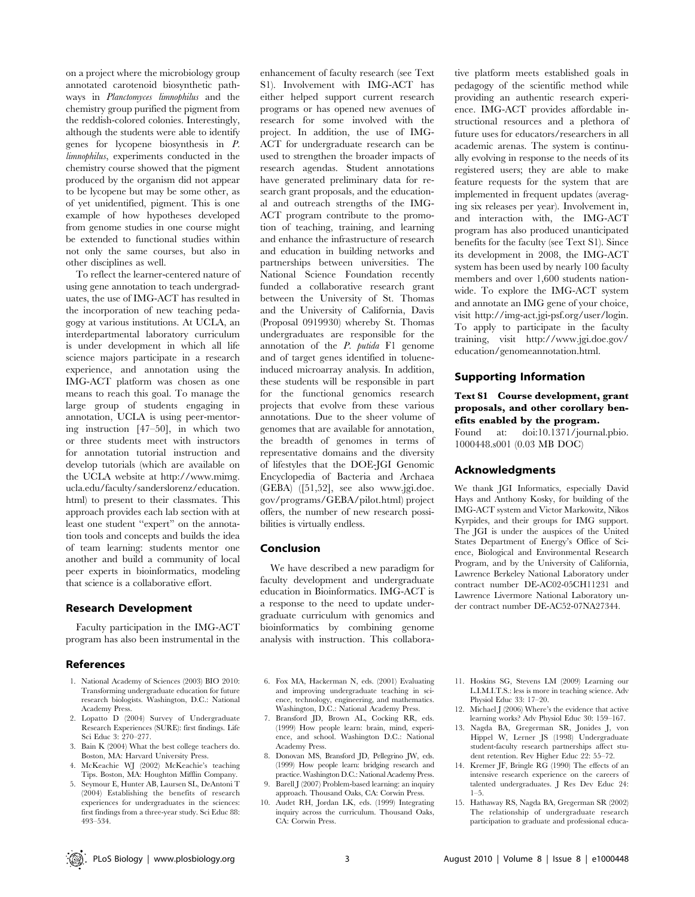on a project where the microbiology group annotated carotenoid biosynthetic pathways in Planctomyces limnophilus and the chemistry group purified the pigment from the reddish-colored colonies. Interestingly, although the students were able to identify genes for lycopene biosynthesis in P. limnophilus, experiments conducted in the chemistry course showed that the pigment produced by the organism did not appear to be lycopene but may be some other, as of yet unidentified, pigment. This is one example of how hypotheses developed from genome studies in one course might be extended to functional studies within not only the same courses, but also in other disciplines as well.

To reflect the learner-centered nature of using gene annotation to teach undergraduates, the use of IMG-ACT has resulted in the incorporation of new teaching pedagogy at various institutions. At UCLA, an interdepartmental laboratory curriculum is under development in which all life science majors participate in a research experience, and annotation using the IMG-ACT platform was chosen as one means to reach this goal. To manage the large group of students engaging in annotation, UCLA is using peer-mentoring instruction [47–50], in which two or three students meet with instructors for annotation tutorial instruction and develop tutorials (which are available on the UCLA website at http://www.mimg. ucla.edu/faculty/sanderslorenz/education. html) to present to their classmates. This approach provides each lab section with at least one student ''expert'' on the annotation tools and concepts and builds the idea of team learning: students mentor one another and build a community of local peer experts in bioinformatics, modeling that science is a collaborative effort.

#### Research Development

Faculty participation in the IMG-ACT program has also been instrumental in the

#### References

- 1. National Academy of Sciences (2003) BIO 2010: Transforming undergraduate education for future research biologists. Washington, D.C.: National Academy Press.
- 2. Lopatto D (2004) Survey of Undergraduate Research Experiences (SURE): first findings. Life Sci Educ 3: 270–277.
- 3. Bain K (2004) What the best college teachers do. Boston, MA: Harvard University Press.
- 4. McKeachie WJ (2002) McKeachie's teaching Tips. Boston, MA: Houghton Mifflin Company.
- 5. Seymour E, Hunter AB, Laursen SL, DeAntoni T (2004) Establishing the benefits of research experiences for undergraduates in the sciences: first findings from a three-year study. Sci Educ 88: 493–534.

enhancement of faculty research (see Text S1). Involvement with IMG-ACT has either helped support current research programs or has opened new avenues of research for some involved with the project. In addition, the use of IMG-ACT for undergraduate research can be used to strengthen the broader impacts of research agendas. Student annotations have generated preliminary data for research grant proposals, and the educational and outreach strengths of the IMG-ACT program contribute to the promotion of teaching, training, and learning and enhance the infrastructure of research and education in building networks and partnerships between universities. The National Science Foundation recently funded a collaborative research grant between the University of St. Thomas and the University of California, Davis (Proposal 0919930) whereby St. Thomas undergraduates are responsible for the annotation of the P. putida F1 genome and of target genes identified in tolueneinduced microarray analysis. In addition, these students will be responsible in part for the functional genomics research projects that evolve from these various annotations. Due to the sheer volume of genomes that are available for annotation, the breadth of genomes in terms of representative domains and the diversity of lifestyles that the DOE-JGI Genomic Encyclopedia of Bacteria and Archaea (GEBA) ([51,52], see also www.jgi.doe. gov/programs/GEBA/pilot.html) project offers, the number of new research possibilities is virtually endless.

#### Conclusion

We have described a new paradigm for faculty development and undergraduate education in Bioinformatics. IMG-ACT is a response to the need to update undergraduate curriculum with genomics and bioinformatics by combining genome analysis with instruction. This collabora-

- 6. Fox MA, Hackerman N, eds. (2001) Evaluating and improving undergraduate teaching in science, technology, engineering, and mathematics. Washington, D.C.: National Academy Press.
- 7. Bransford JD, Brown AL, Cocking RR, eds. (1999) How people learn: brain, mind, experience, and school. Washington D.C.: National Academy Press.
- 8. Donovan MS, Bransford JD, Pellegrino JW, eds. (1999) How people learn: bridging research and practice.Washington D.C.: National Academy Press.
- 9. Barell J (2007) Problem-based learning: an inquiry approach. Thousand Oaks, CA: Corwin Press.
- 10. Audet RH, Jordan LK, eds. (1999) Integrating inquiry across the curriculum. Thousand Oaks, CA: Corwin Press.

tive platform meets established goals in pedagogy of the scientific method while providing an authentic research experience. IMG-ACT provides affordable instructional resources and a plethora of future uses for educators/researchers in all academic arenas. The system is continually evolving in response to the needs of its registered users; they are able to make feature requests for the system that are implemented in frequent updates (averaging six releases per year). Involvement in, and interaction with, the IMG-ACT program has also produced unanticipated benefits for the faculty (see Text S1). Since its development in 2008, the IMG-ACT system has been used by nearly 100 faculty members and over 1,600 students nationwide. To explore the IMG-ACT system and annotate an IMG gene of your choice, visit http://img-act.jgi-psf.org/user/login. To apply to participate in the faculty training, visit http://www.jgi.doe.gov/ education/genomeannotation.html.

#### Supporting Information

#### Text S1 Course development, grant proposals, and other corollary benefits enabled by the program.

Found at: doi:10.1371/journal.pbio. 1000448.s001 (0.03 MB DOC)

#### Acknowledgments

We thank JGI Informatics, especially David Hays and Anthony Kosky, for building of the IMG-ACT system and Victor Markowitz, Nikos Kyrpides, and their groups for IMG support. The JGI is under the auspices of the United States Department of Energy's Office of Science, Biological and Environmental Research Program, and by the University of California, Lawrence Berkeley National Laboratory under contract number DE-AC02-05CH11231 and Lawrence Livermore National Laboratory under contract number DE-AC52-07NA27344.

- 11. Hoskins SG, Stevens LM (2009) Learning our L.I.M.I.T.S.: less is more in teaching science. Adv Physiol Educ 33: 17–20.
- 12. Michael J (2006) Where's the evidence that active learning works? Adv Physiol Educ 30: 159–167.
- 13. Nagda BA, Gregerman SR, Jonides J, von Hippel W, Lerner JS (1998) Undergraduate student-faculty research partnerships affect student retention. Rev Higher Educ 22: 55–72.
- 14. Kremer JF, Bringle RG (1990) The effects of an intensive research experience on the careers of talented undergraduates. J Res Dev Educ 24: 1–5.
- 15. Hathaway RS, Nagda BA, Gregerman SR (2002) The relationship of undergraduate research participation to graduate and professional educa-